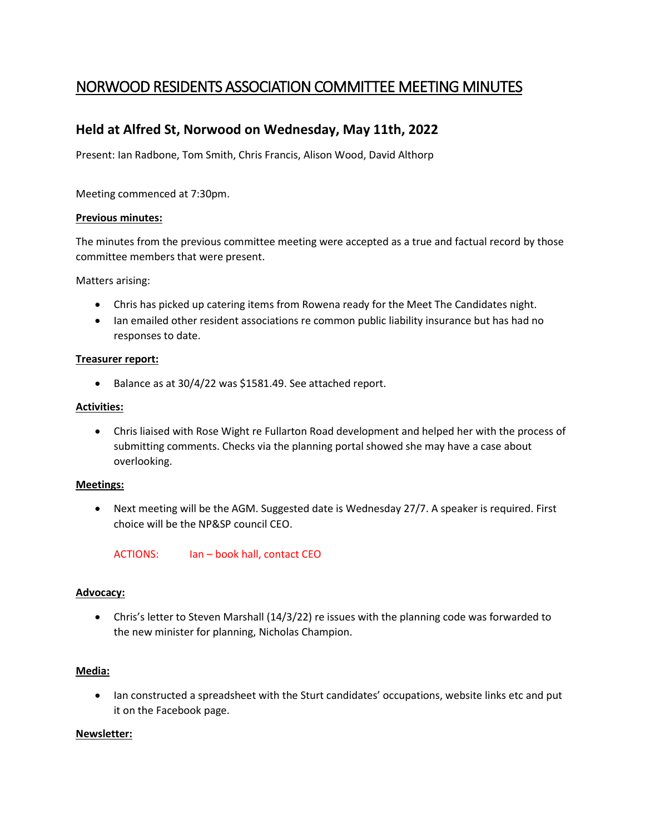# NORWOOD RESIDENTS ASSOCIATION COMMITTEE MEETING MINUTES

# **Held at Alfred St, Norwood on Wednesday, May 11th, 2022**

Present: Ian Radbone, Tom Smith, Chris Francis, Alison Wood, David Althorp

Meeting commenced at 7:30pm.

#### **Previous minutes:**

The minutes from the previous committee meeting were accepted as a true and factual record by those committee members that were present.

Matters arising:

- Chris has picked up catering items from Rowena ready for the Meet The Candidates night.
- Ian emailed other resident associations re common public liability insurance but has had no responses to date.

#### **Treasurer report:**

• Balance as at 30/4/22 was \$1581.49. See attached report.

#### **Activities:**

• Chris liaised with Rose Wight re Fullarton Road development and helped her with the process of submitting comments. Checks via the planning portal showed she may have a case about overlooking.

#### **Meetings:**

• Next meeting will be the AGM. Suggested date is Wednesday 27/7. A speaker is required. First choice will be the NP&SP council CEO.

ACTIONS: Ian – book hall, contact CEO

#### **Advocacy:**

• Chris's letter to Steven Marshall (14/3/22) re issues with the planning code was forwarded to the new minister for planning, Nicholas Champion.

#### **Media:**

• Ian constructed a spreadsheet with the Sturt candidates' occupations, website links etc and put it on the Facebook page.

#### **Newsletter:**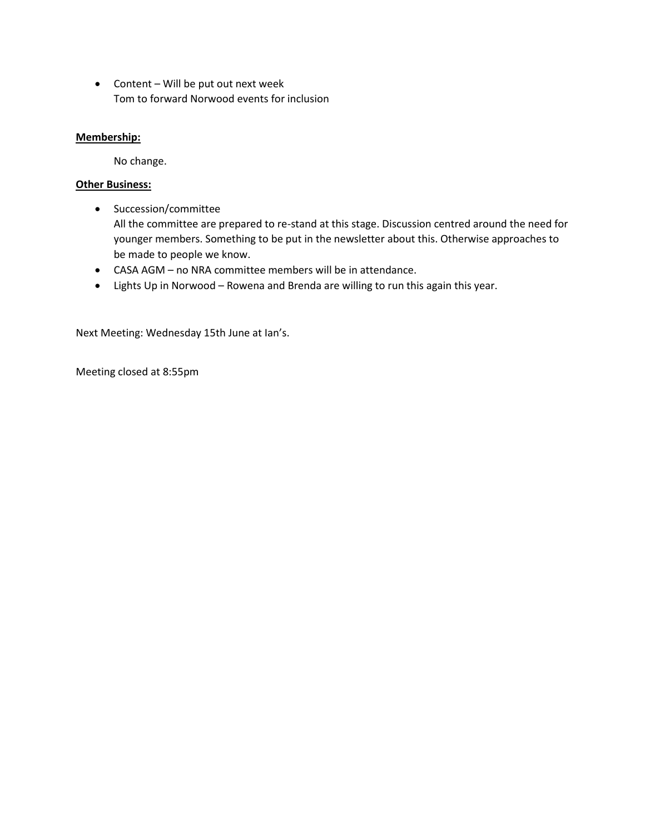• Content – Will be put out next week Tom to forward Norwood events for inclusion

### **Membership:**

No change.

## **Other Business:**

• Succession/committee

All the committee are prepared to re-stand at this stage. Discussion centred around the need for younger members. Something to be put in the newsletter about this. Otherwise approaches to be made to people we know.

- CASA AGM no NRA committee members will be in attendance.
- Lights Up in Norwood Rowena and Brenda are willing to run this again this year.

Next Meeting: Wednesday 15th June at Ian's.

Meeting closed at 8:55pm